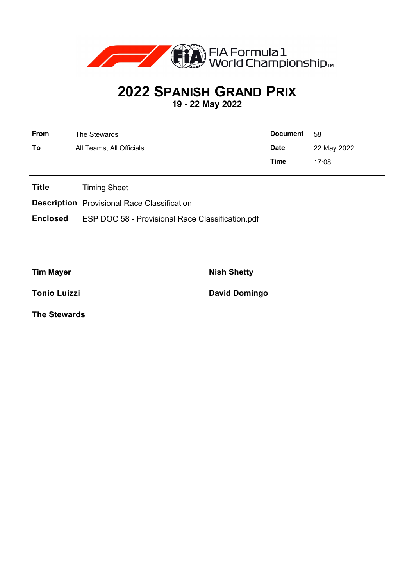

## **2022 SPANISH GRAND PRIX**

**19 - 22 May 2022**

| <b>From</b> | The Stewards             | <b>Document</b> | - 58        |
|-------------|--------------------------|-----------------|-------------|
| To          | All Teams, All Officials | <b>Date</b>     | 22 May 2022 |
|             |                          | Time            | 17:08       |

**Title** Timing Sheet

**Description** Provisional Race Classification

**Enclosed** ESP DOC 58 - Provisional Race Classification.pdf

**Tim Mayer Nish Shetty** 

**Tonio Luizzi David Domingo** 

**The Stewards**